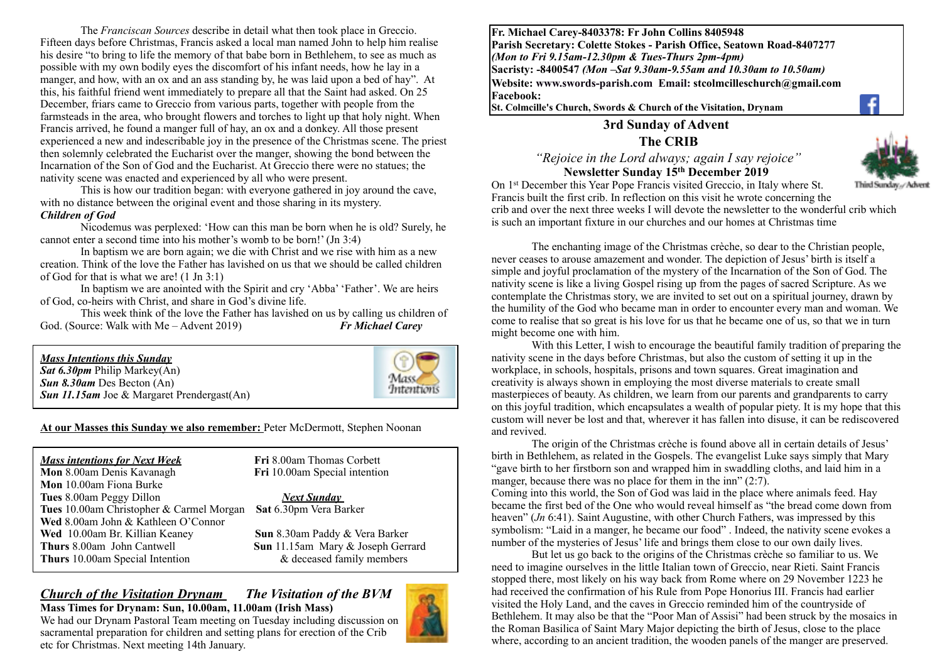The *Franciscan Sources* describe in detail what then took place in Greccio. Fifteen days before Christmas, Francis asked a local man named John to help him realise his desire "to bring to life the memory of that babe born in Bethlehem, to see as much as possible with my own bodily eyes the discomfort of his infant needs, how he lay in a manger, and how, with an ox and an ass standing by, he was laid upon a bed of hay". At this, his faithful friend went immediately to prepare all that the Saint had asked. On 25 December, friars came to Greccio from various parts, together with people from the farmsteads in the area, who brought flowers and torches to light up that holy night. When Francis arrived, he found a manger full of hay, an ox and a donkey. All those present experienced a new and indescribable joy in the presence of the Christmas scene. The priest then solemnly celebrated the Eucharist over the manger, showing the bond between the Incarnation of the Son of God and the Eucharist. At Greccio there were no statues; the nativity scene was enacted and experienced by all who were present.

This is how our tradition began: with everyone gathered in joy around the cave, with no distance between the original event and those sharing in its mystery. *Children of God* 

Nicodemus was perplexed: 'How can this man be born when he is old? Surely, he cannot enter a second time into his mother's womb to be born!' (Jn 3:4)

In baptism we are born again; we die with Christ and we rise with him as a new creation. Think of the love the Father has lavished on us that we should be called children of God for that is what we are! (1 Jn 3:1)

In baptism we are anointed with the Spirit and cry 'Abba' 'Father'. We are heirs of God, co-heirs with Christ, and share in God's divine life.

This week think of the love the Father has lavished on us by calling us children of God. (Source: Walk with Me – Advent 2019) *Fr Michael Carey*



**At our Masses this Sunday we also remember:** Peter McDermott, Stephen Noonan

*Mass intentions for Next Week* **Fri** 8.00am Thomas Corbett **Mon** 8.00am Denis Kavanagh **Fri** 10.00am Special intention **Mon** 10.00am Fiona Burke **Tues** 8.00am Peggy Dillon *Next Sunday*  **Tues** 10.00am Christopher & Carmel Morgan **Sat** 6.30pm Vera Barker **Wed** 8.00am John & Kathleen O'Connor **Wed** 10.00am Br. Killian Keaney **Sun** 8.30am Paddy & Vera Barker **Thurs** 8.00am John Cantwell **Sun** 11.15am Mary & Joseph Gerrard **Thurs** 10.00am Special Intention  $\&$  deceased family members

#### *Church of the Visitation Drynam**The Visitation of the BVM* **Mass Times for Drynam: Sun, 10.00am, 11.00am (Irish Mass)**



**Fr. Michael Carey-8403378: Fr John Collins 8405948 Parish Secretary: Colette Stokes - Parish Office, Seatown Road-8407277**  *(Mon to Fri 9.15am-12.30pm & Tues-Thurs 2pm-4pm)*  **Sacristy: -8400547** *(Mon –Sat 9.30am-9.55am and 10.30am to 10.50am)* **Website: [www.swords-parish.com Email:](http://www.swords-parish.com%20%20email) stcolmcilleschurch@gmail.com Facebook:** 

**St. Colmcille's Church, Swords & Church of the Visitation, Drynam**

### **3rd Sunday of Advent The CRIB**

 *"Rejoice in the Lord always; again I say rejoice"*  **Newsletter Sunday 15th December 2019** 



On 1st December this Year Pope Francis visited Greccio, in Italy where St. Third Sunday,/Advent Francis built the first crib. In reflection on this visit he wrote concerning the crib and over the next three weeks I will devote the newsletter to the wonderful crib which is such an important fixture in our churches and our homes at Christmas time

The enchanting image of the Christmas crèche, so dear to the Christian people, never ceases to arouse amazement and wonder. The depiction of Jesus' birth is itself a simple and joyful proclamation of the mystery of the Incarnation of the Son of God. The nativity scene is like a living Gospel rising up from the pages of sacred Scripture. As we contemplate the Christmas story, we are invited to set out on a spiritual journey, drawn by the humility of the God who became man in order to encounter every man and woman. We come to realise that so great is his love for us that he became one of us, so that we in turn might become one with him.

With this Letter, I wish to encourage the beautiful family tradition of preparing the nativity scene in the days before Christmas, but also the custom of setting it up in the workplace, in schools, hospitals, prisons and town squares. Great imagination and creativity is always shown in employing the most diverse materials to create small masterpieces of beauty. As children, we learn from our parents and grandparents to carry on this joyful tradition, which encapsulates a wealth of popular piety. It is my hope that this custom will never be lost and that, wherever it has fallen into disuse, it can be rediscovered and revived.

The origin of the Christmas crèche is found above all in certain details of Jesus' birth in Bethlehem, as related in the Gospels. The evangelist Luke says simply that Mary "gave birth to her firstborn son and wrapped him in swaddling cloths, and laid him in a manger, because there was no place for them in the inn" (2:7).

Coming into this world, the Son of God was laid in the place where animals feed. Hay became the first bed of the One who would reveal himself as "the bread come down from heaven" (*Jn* 6:41). Saint Augustine, with other Church Fathers, was impressed by this symbolism: "Laid in a manger, he became our food" . Indeed, the nativity scene evokes a number of the mysteries of Jesus' life and brings them close to our own daily lives.

But let us go back to the origins of the Christmas crèche so familiar to us. We need to imagine ourselves in the little Italian town of Greccio, near Rieti. Saint Francis stopped there, most likely on his way back from Rome where on 29 November 1223 he had received the confirmation of his Rule from Pope Honorius III. Francis had earlier visited the Holy Land, and the caves in Greccio reminded him of the countryside of Bethlehem. It may also be that the "Poor Man of Assisi" had been struck by the mosaics in the Roman Basilica of Saint Mary Major depicting the birth of Jesus, close to the place where, according to an ancient tradition, the wooden panels of the manger are preserved.

We had our Drynam Pastoral Team meeting on Tuesday including discussion on sacramental preparation for children and setting plans for erection of the Crib etc for Christmas. Next meeting 14th January.